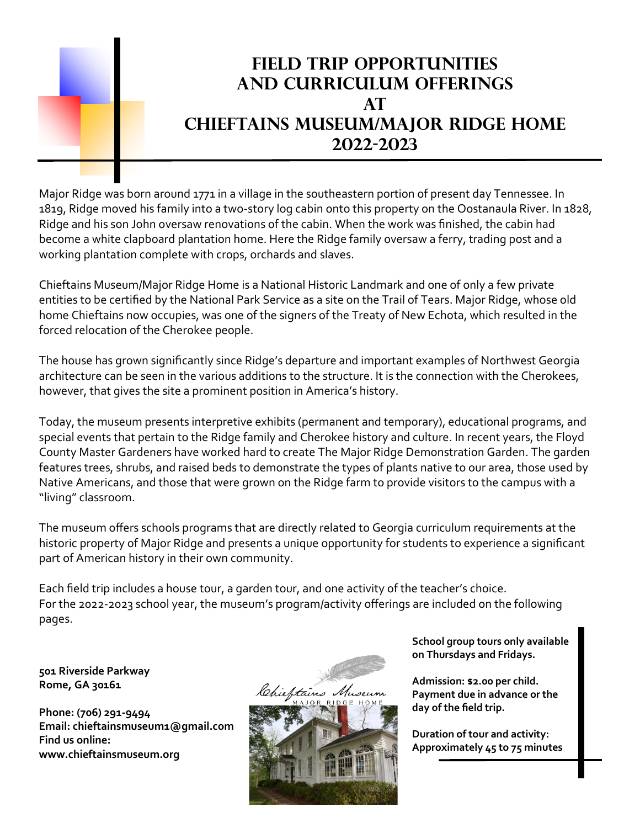## Field Trip Opportunities And Curriculum offerings  $AT$ Chieftains Museum/Major Ridge Home 2022-2023

Major Ridge was born around 1771 in a village in the southeastern portion of present day Tennessee. In 1819, Ridge moved his family into a two-story log cabin onto this property on the Oostanaula River. In 1828, Ridge and his son John oversaw renovations of the cabin. When the work was finished, the cabin had become a white clapboard plantation home. Here the Ridge family oversaw a ferry, trading post and a working plantation complete with crops, orchards and slaves.

Chieftains Museum/Major Ridge Home is a National Historic Landmark and one of only a few private entities to be certified by the National Park Service as a site on the Trail of Tears. Major Ridge, whose old home Chieftains now occupies, was one of the signers of the Treaty of New Echota, which resulted in the forced relocation of the Cherokee people.

The house has grown significantly since Ridge's departure and important examples of Northwest Georgia architecture can be seen in the various additions to the structure. It is the connection with the Cherokees, however, that gives the site a prominent position in America's history.

Today, the museum presents interpretive exhibits (permanent and temporary), educational programs, and special events that pertain to the Ridge family and Cherokee history and culture. In recent years, the Floyd County Master Gardeners have worked hard to create The Major Ridge Demonstration Garden. The garden features trees, shrubs, and raised beds to demonstrate the types of plants native to our area, those used by Native Americans, and those that were grown on the Ridge farm to provide visitors to the campus with a "living" classroom.

The museum offers schools programs that are directly related to Georgia curriculum requirements at the historic property of Major Ridge and presents a unique opportunity for students to experience a significant part of American history in their own community.

Each field trip includes a house tour, a garden tour, and one activity of the teacher's choice. For the 2022-2023 school year, the museum's program/activity offerings are included on the following pages.

501 Riverside Parkway Rome, GA 30161

Phone: (706) 291-9494 Email: chieftainsmuseum1@gmail.com Find us online: www.chieftainsmuseum.org



School group tours only available on Thursdays and Fridays.

Admission: \$2.00 per child. Payment due in advance or the day of the field trip.

Duration of tour and activity: Approximately 45 to 75 minutes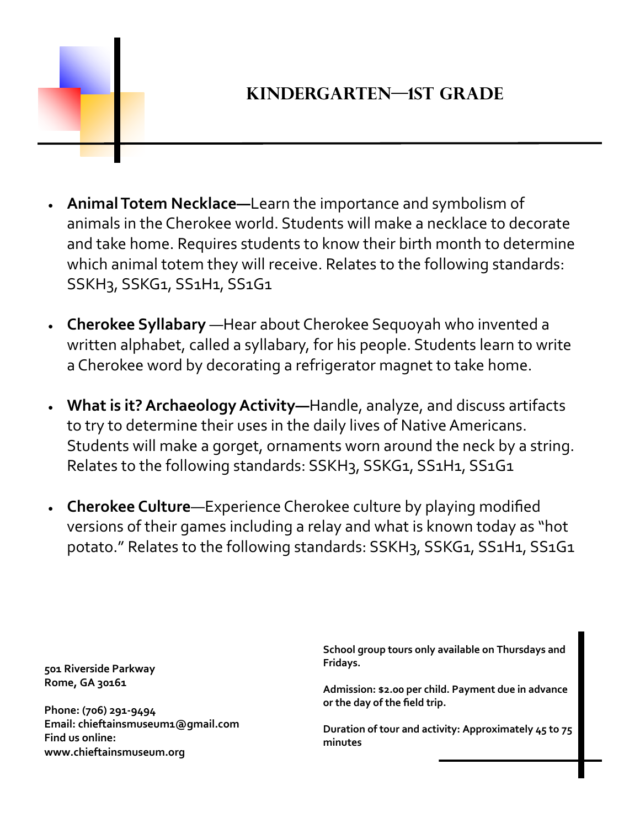

## Kindergarten—1st Grade

- Animal Totem Necklace—Learn the importance and symbolism of animals in the Cherokee world. Students will make a necklace to decorate and take home. Requires students to know their birth month to determine which animal totem they will receive. Relates to the following standards: SSKH3, SSKG1, SS1H1, SS1G1
- · Cherokee Syllabary —Hear about Cherokee Sequoyah who invented a written alphabet, called a syllabary, for his people. Students learn to write a Cherokee word by decorating a refrigerator magnet to take home.
- What is it? Archaeology Activity—Handle, analyze, and discuss artifacts to try to determine their uses in the daily lives of Native Americans. Students will make a gorget, ornaments worn around the neck by a string. Relates to the following standards: SSKH3, SSKG1, SS1H1, SS1G1
- Cherokee Culture—Experience Cherokee culture by playing modified versions of their games including a relay and what is known today as "hot potato." Relates to the following standards: SSKH3, SSKG1, SS1H1, SS1G1

501 Riverside Parkway Rome, GA 30161

Phone: (706) 291-9494 Email: chieftainsmuseum1@gmail.com Find us online: www.chieftainsmuseum.org

School group tours only available on Thursdays and Fridays.

Admission: \$2.00 per child. Payment due in advance or the day of the field trip.

Duration of tour and activity: Approximately 45 to 75 minutes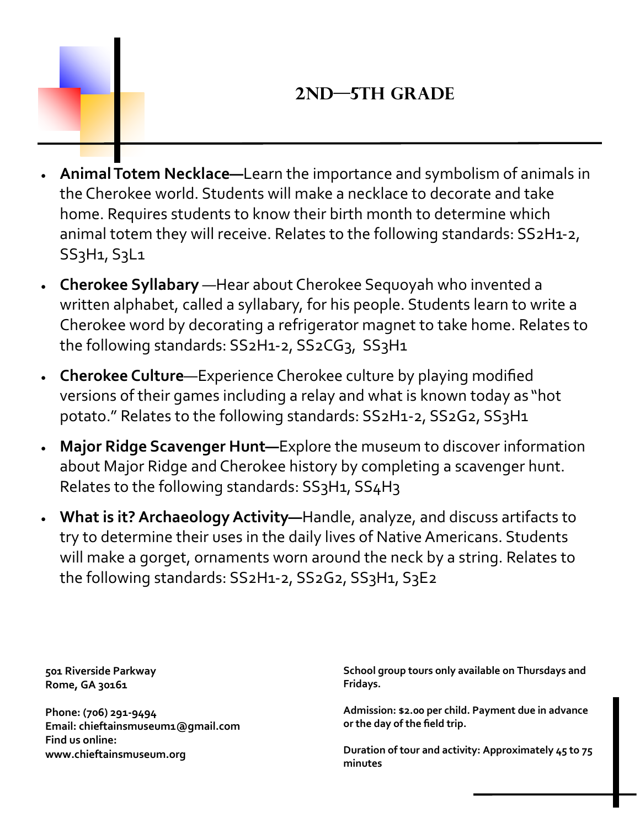## 2nd—5th Grade

- Animal Totem Necklace—Learn the importance and symbolism of animals in the Cherokee world. Students will make a necklace to decorate and take home. Requires students to know their birth month to determine which animal totem they will receive. Relates to the following standards: SS2H1-2, SS3H1, S3L1
- · Cherokee Syllabary —Hear about Cherokee Sequoyah who invented a written alphabet, called a syllabary, for his people. Students learn to write a Cherokee word by decorating a refrigerator magnet to take home. Relates to the following standards: SS2H1-2, SS2CG3, SS3H1
- Cherokee Culture—Experience Cherokee culture by playing modified versions of their games including a relay and what is known today as "hot potato." Relates to the following standards: SS2H1-2, SS2G2, SS3H1
- Major Ridge Scavenger Hunt-Explore the museum to discover information about Major Ridge and Cherokee history by completing a scavenger hunt. Relates to the following standards: SS3H1, SS4H3
- What is it? Archaeology Activity—Handle, analyze, and discuss artifacts to try to determine their uses in the daily lives of Native Americans. Students will make a gorget, ornaments worn around the neck by a string. Relates to the following standards: SS2H1-2, SS2G2, SS3H1, S3E2

501 Riverside Parkway Rome, GA 30161

Phone: (706) 291-9494 Email: chieftainsmuseum1@gmail.com Find us online: www.chieftainsmuseum.org

School group tours only available on Thursdays and Fridays.

Admission: \$2.00 per child. Payment due in advance or the day of the field trip.

Duration of tour and activity: Approximately 45 to 75 minutes